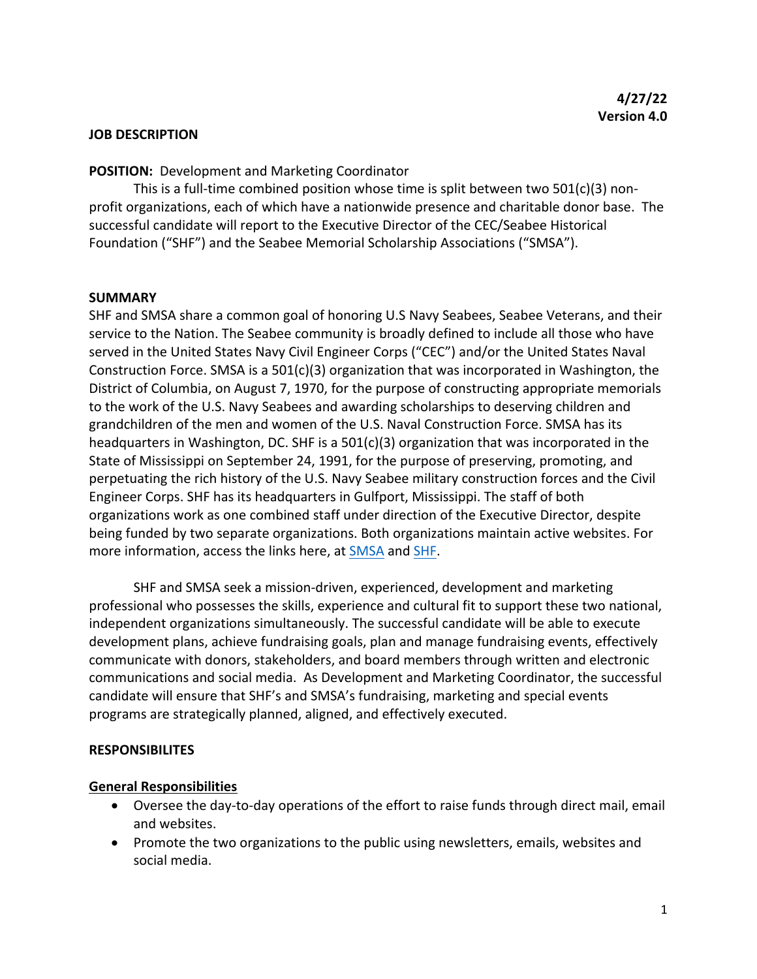#### **JOB DESCRIPTION**

#### **POSITION:** Development and Marketing Coordinator

This is a full-time combined position whose time is split between two  $501(c)(3)$  nonprofit organizations, each of which have a nationwide presence and charitable donor base. The successful candidate will report to the Executive Director of the CEC/Seabee Historical Foundation ("SHF") and the Seabee Memorial Scholarship Associations ("SMSA").

#### **SUMMARY**

SHF and SMSA share a common goal of honoring U.S Navy Seabees, Seabee Veterans, and their service to the Nation. The Seabee community is broadly defined to include all those who have served in the United States Navy Civil Engineer Corps ("CEC") and/or the United States Naval Construction Force. SMSA is a  $501(c)(3)$  organization that was incorporated in Washington, the District of Columbia, on August 7, 1970, for the purpose of constructing appropriate memorials to the work of the U.S. Navy Seabees and awarding scholarships to deserving children and grandchildren of the men and women of the U.S. Naval Construction Force. SMSA has its headquarters in Washington, DC. SHF is a 501(c)(3) organization that was incorporated in the State of Mississippi on September 24, 1991, for the purpose of preserving, promoting, and perpetuating the rich history of the U.S. Navy Seabee military construction forces and the Civil Engineer Corps. SHF has its headquarters in Gulfport, Mississippi. The staff of both organizations work as one combined staff under direction of the Executive Director, despite being funded by two separate organizations. Both organizations maintain active websites. For more information, access the links here, at SMSA and SHF.

SHF and SMSA seek a mission-driven, experienced, development and marketing professional who possesses the skills, experience and cultural fit to support these two national, independent organizations simultaneously. The successful candidate will be able to execute development plans, achieve fundraising goals, plan and manage fundraising events, effectively communicate with donors, stakeholders, and board members through written and electronic communications and social media. As Development and Marketing Coordinator, the successful candidate will ensure that SHF's and SMSA's fundraising, marketing and special events programs are strategically planned, aligned, and effectively executed.

#### **RESPONSIBILITES**

#### **General Responsibilities**

- Oversee the day-to-day operations of the effort to raise funds through direct mail, email and websites.
- Promote the two organizations to the public using newsletters, emails, websites and social media.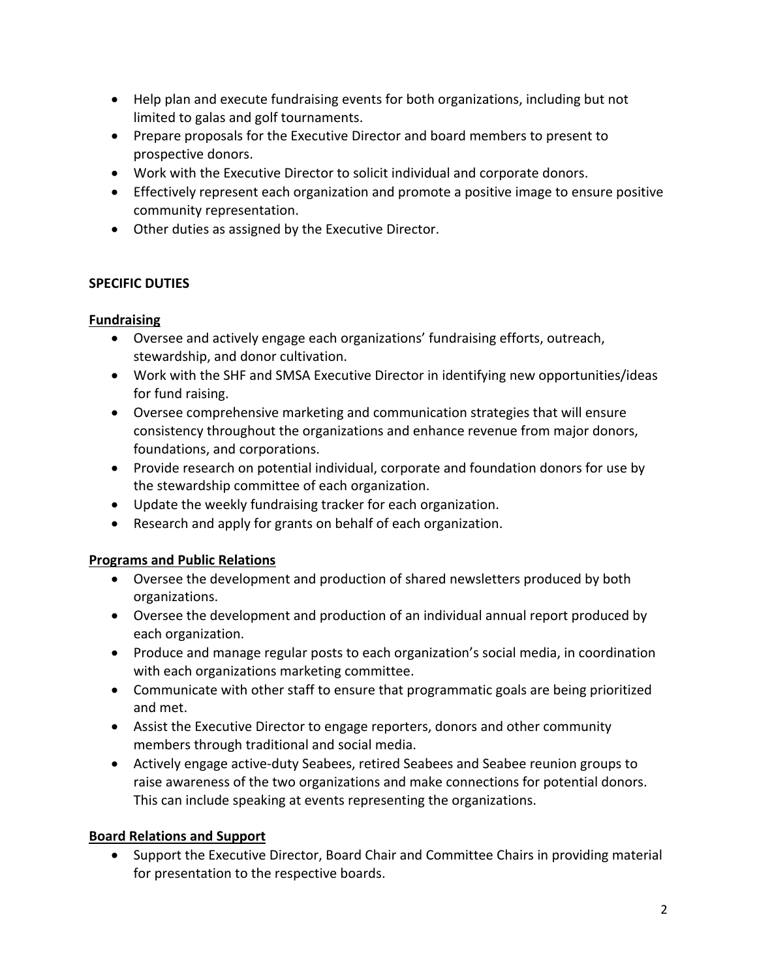- Help plan and execute fundraising events for both organizations, including but not limited to galas and golf tournaments.
- Prepare proposals for the Executive Director and board members to present to prospective donors.
- Work with the Executive Director to solicit individual and corporate donors.
- Effectively represent each organization and promote a positive image to ensure positive community representation.
- Other duties as assigned by the Executive Director.

## **SPECIFIC DUTIES**

# **Fundraising**

- Oversee and actively engage each organizations' fundraising efforts, outreach, stewardship, and donor cultivation.
- Work with the SHF and SMSA Executive Director in identifying new opportunities/ideas for fund raising.
- Oversee comprehensive marketing and communication strategies that will ensure consistency throughout the organizations and enhance revenue from major donors, foundations, and corporations.
- Provide research on potential individual, corporate and foundation donors for use by the stewardship committee of each organization.
- Update the weekly fundraising tracker for each organization.
- Research and apply for grants on behalf of each organization.

## **Programs and Public Relations**

- Oversee the development and production of shared newsletters produced by both organizations.
- Oversee the development and production of an individual annual report produced by each organization.
- Produce and manage regular posts to each organization's social media, in coordination with each organizations marketing committee.
- Communicate with other staff to ensure that programmatic goals are being prioritized and met.
- Assist the Executive Director to engage reporters, donors and other community members through traditional and social media.
- Actively engage active-duty Seabees, retired Seabees and Seabee reunion groups to raise awareness of the two organizations and make connections for potential donors. This can include speaking at events representing the organizations.

## **Board Relations and Support**

• Support the Executive Director, Board Chair and Committee Chairs in providing material for presentation to the respective boards.